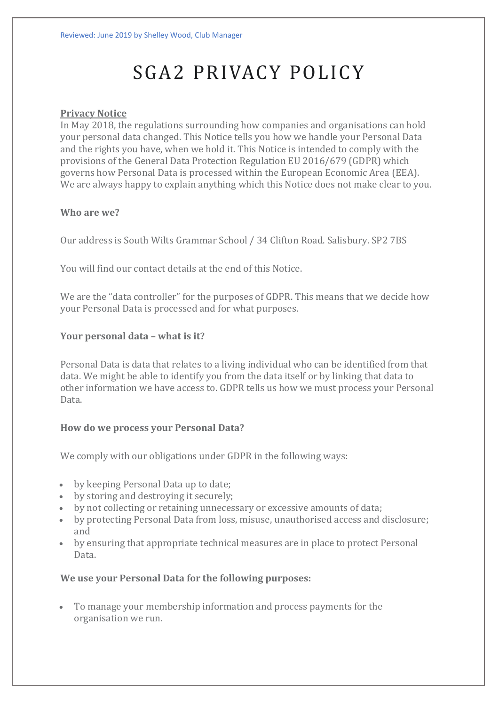# SGA2 PRIVACY POLICY

### **Privacy Notice**

In May 2018, the regulations surrounding how companies and organisations can hold your personal data changed. This Notice tells you how we handle your Personal Data and the rights you have, when we hold it. This Notice is intended to comply with the provisions of the General Data Protection Regulation EU 2016/679 (GDPR) which governs how Personal Data is processed within the European Economic Area (EEA). We are always happy to explain anything which this Notice does not make clear to you.

#### **Who are we?**

Our address is South Wilts Grammar School / 34 Clifton Road. Salisbury. SP2 7BS

You will find our contact details at the end of this Notice.

We are the "data controller" for the purposes of GDPR. This means that we decide how your Personal Data is processed and for what purposes.

## **Your personal data – what is it?**

Personal Data is data that relates to a living individual who can be identified from that data. We might be able to identify you from the data itself or by linking that data to other information we have access to. GDPR tells us how we must process your Personal Data.

## **How do we process your Personal Data?**

We comply with our obligations under GDPR in the following ways:

- by keeping Personal Data up to date;
- by storing and destroying it securely;
- by not collecting or retaining unnecessary or excessive amounts of data;
- by protecting Personal Data from loss, misuse, unauthorised access and disclosure; and
- by ensuring that appropriate technical measures are in place to protect Personal Data.

## **We use your Personal Data for the following purposes:**

• To manage your membership information and process payments for the organisation we run.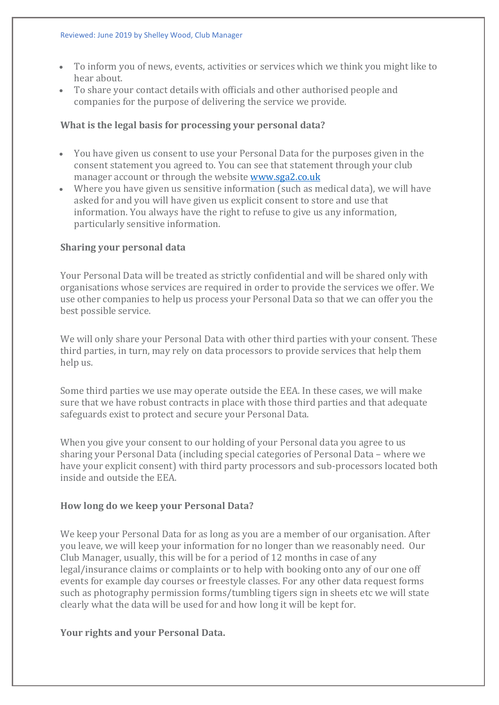- To inform you of news, events, activities or services which we think you might like to hear about.
- To share your contact details with officials and other authorised people and companies for the purpose of delivering the service we provide.

### **What is the legal basis for processing your personal data?**

- You have given us consent to use your Personal Data for the purposes given in the consent statement you agreed to. You can see that statement through your club manager account or through the website [www.sga2.co.uk](http://www.sga2.co.uk/)
- Where you have given us sensitive information (such as medical data), we will have asked for and you will have given us explicit consent to store and use that information. You always have the right to refuse to give us any information, particularly sensitive information.

## **Sharing your personal data**

Your Personal Data will be treated as strictly confidential and will be shared only with organisations whose services are required in order to provide the services we offer. We use other companies to help us process your Personal Data so that we can offer you the best possible service.

We will only share your Personal Data with other third parties with your consent. These third parties, in turn, may rely on data processors to provide services that help them help us.

Some third parties we use may operate outside the EEA. In these cases, we will make sure that we have robust contracts in place with those third parties and that adequate safeguards exist to protect and secure your Personal Data.

When you give your consent to our holding of your Personal data you agree to us sharing your Personal Data (including special categories of Personal Data – where we have your explicit consent) with third party processors and sub-processors located both inside and outside the EEA.

## **How long do we keep your Personal Data?**

We keep your Personal Data for as long as you are a member of our organisation. After you leave, we will keep your information for no longer than we reasonably need. Our Club Manager, usually, this will be for a period of 12 months in case of any legal/insurance claims or complaints or to help with booking onto any of our one off events for example day courses or freestyle classes. For any other data request forms such as photography permission forms/tumbling tigers sign in sheets etc we will state clearly what the data will be used for and how long it will be kept for.

## **Your rights and your Personal Data.**